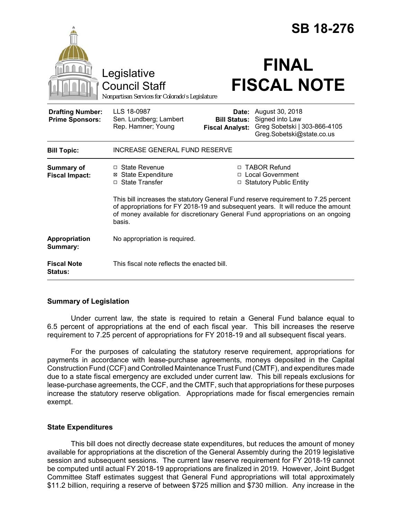|                                                   |                                                                                                                                                                                                                                                                    |                                                                   | <b>SB 18-276</b>                                                                                             |  |
|---------------------------------------------------|--------------------------------------------------------------------------------------------------------------------------------------------------------------------------------------------------------------------------------------------------------------------|-------------------------------------------------------------------|--------------------------------------------------------------------------------------------------------------|--|
|                                                   | Legislative<br><b>Council Staff</b><br>Nonpartisan Services for Colorado's Legislature                                                                                                                                                                             |                                                                   | <b>FINAL</b><br><b>FISCAL NOTE</b>                                                                           |  |
| <b>Drafting Number:</b><br><b>Prime Sponsors:</b> | LLS 18-0987<br>Sen. Lundberg; Lambert<br>Rep. Hamner; Young                                                                                                                                                                                                        | <b>Bill Status:</b><br><b>Fiscal Analyst:</b>                     | <b>Date:</b> August 30, 2018<br>Signed into Law<br>Greg Sobetski   303-866-4105<br>Greg.Sobetski@state.co.us |  |
| <b>Bill Topic:</b>                                | <b>INCREASE GENERAL FUND RESERVE</b>                                                                                                                                                                                                                               |                                                                   |                                                                                                              |  |
| Summary of<br><b>Fiscal Impact:</b>               | $\Box$ State Revenue<br><b>⊠</b> State Expenditure<br>□ State Transfer                                                                                                                                                                                             | □ TABOR Refund<br>□ Local Government<br>□ Statutory Public Entity |                                                                                                              |  |
|                                                   | This bill increases the statutory General Fund reserve requirement to 7.25 percent<br>of appropriations for FY 2018-19 and subsequent years. It will reduce the amount<br>of money available for discretionary General Fund appropriations on an ongoing<br>basis. |                                                                   |                                                                                                              |  |
| Appropriation<br>Summary:                         | No appropriation is required.                                                                                                                                                                                                                                      |                                                                   |                                                                                                              |  |
| <b>Fiscal Note</b><br><b>Status:</b>              | This fiscal note reflects the enacted bill.                                                                                                                                                                                                                        |                                                                   |                                                                                                              |  |

## **Summary of Legislation**

Under current law, the state is required to retain a General Fund balance equal to 6.5 percent of appropriations at the end of each fiscal year. This bill increases the reserve requirement to 7.25 percent of appropriations for FY 2018-19 and all subsequent fiscal years.

For the purposes of calculating the statutory reserve requirement, appropriations for payments in accordance with lease-purchase agreements, moneys deposited in the Capital Construction Fund (CCF) and Controlled Maintenance Trust Fund (CMTF), and expenditures made due to a state fiscal emergency are excluded under current law. This bill repeals exclusions for lease-purchase agreements, the CCF, and the CMTF, such that appropriations for these purposes increase the statutory reserve obligation. Appropriations made for fiscal emergencies remain exempt.

## **State Expenditures**

This bill does not directly decrease state expenditures, but reduces the amount of money available for appropriations at the discretion of the General Assembly during the 2019 legislative session and subsequent sessions. The current law reserve requirement for FY 2018-19 cannot be computed until actual FY 2018-19 appropriations are finalized in 2019. However, Joint Budget Committee Staff estimates suggest that General Fund appropriations will total approximately \$11.2 billion, requiring a reserve of between \$725 million and \$730 million. Any increase in the